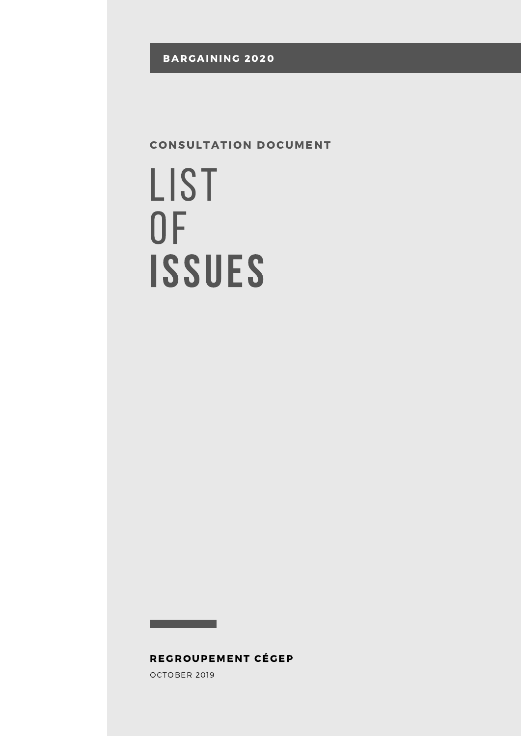BARGAINING 2020

#### **CONSULTATION DOCUMENT**

# list of issueS

REGROUPEMENT CÉGEP

OCTOBER 2019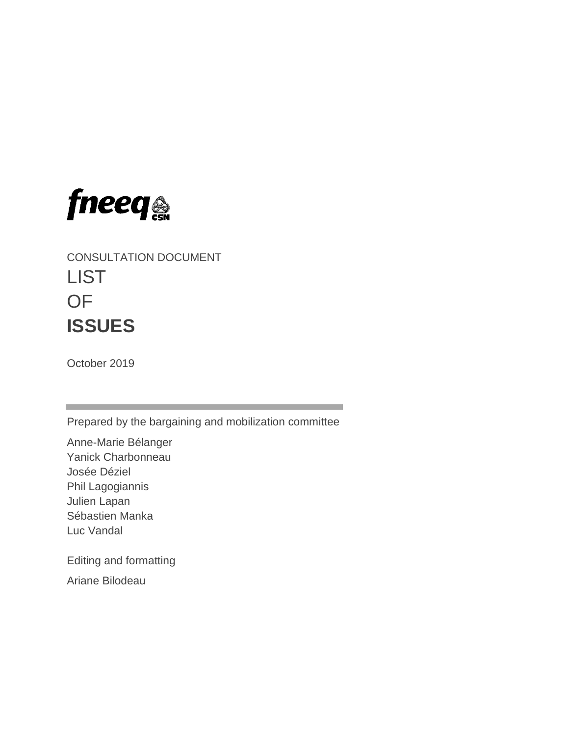

CONSULTATION DOCUMENT **LIST** OF **ISSUES**

October 2019

Prepared by the bargaining and mobilization committee

Anne-Marie Bélanger Yanick Charbonneau Josée Déziel Phil Lagogiannis Julien Lapan Sébastien Manka Luc Vandal

Editing and formatting

Ariane Bilodeau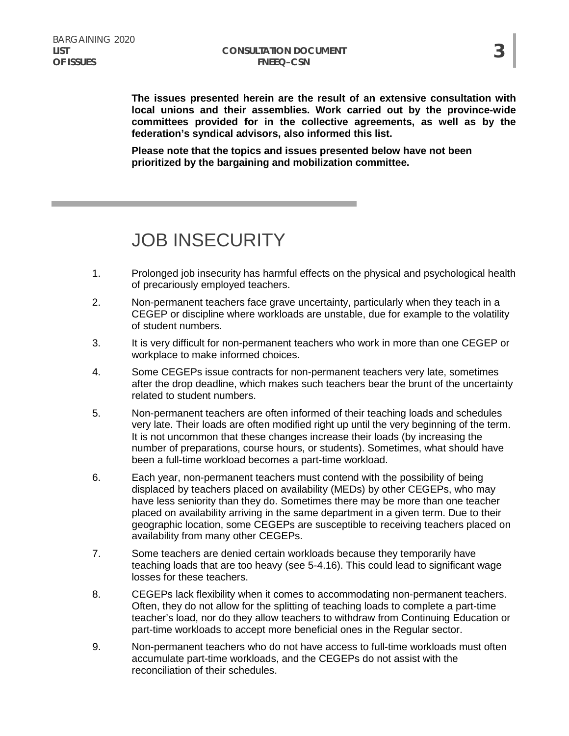#### **CONSULTATION DOCUMENT FNEEQ–CSN**

**The issues presented herein are the result of an extensive consultation with local unions and their assemblies. Work carried out by the province-wide committees provided for in the collective agreements, as well as by the federation's syndical advisors, also informed this list.** 

**Please note that the topics and issues presented below have not been prioritized by the bargaining and mobilization committee.**

# JOB INSECURITY

- 1. Prolonged job insecurity has harmful effects on the physical and psychological health of precariously employed teachers.
- 2. Non-permanent teachers face grave uncertainty, particularly when they teach in a CEGEP or discipline where workloads are unstable, due for example to the volatility of student numbers.
- 3. It is very difficult for non-permanent teachers who work in more than one CEGEP or workplace to make informed choices.
- 4. Some CEGEPs issue contracts for non-permanent teachers very late, sometimes after the drop deadline, which makes such teachers bear the brunt of the uncertainty related to student numbers.
- 5. Non-permanent teachers are often informed of their teaching loads and schedules very late. Their loads are often modified right up until the very beginning of the term. It is not uncommon that these changes increase their loads (by increasing the number of preparations, course hours, or students). Sometimes, what should have been a full-time workload becomes a part-time workload.
- 6. Each year, non-permanent teachers must contend with the possibility of being displaced by teachers placed on availability (MEDs) by other CEGEPs, who may have less seniority than they do. Sometimes there may be more than one teacher placed on availability arriving in the same department in a given term. Due to their geographic location, some CEGEPs are susceptible to receiving teachers placed on availability from many other CEGEPs.
- 7. Some teachers are denied certain workloads because they temporarily have teaching loads that are too heavy (see 5-4.16). This could lead to significant wage losses for these teachers.
- 8. CEGEPs lack flexibility when it comes to accommodating non-permanent teachers. Often, they do not allow for the splitting of teaching loads to complete a part-time teacher's load, nor do they allow teachers to withdraw from Continuing Education or part-time workloads to accept more beneficial ones in the Regular sector.
- 9. Non-permanent teachers who do not have access to full-time workloads must often accumulate part-time workloads, and the CEGEPs do not assist with the reconciliation of their schedules.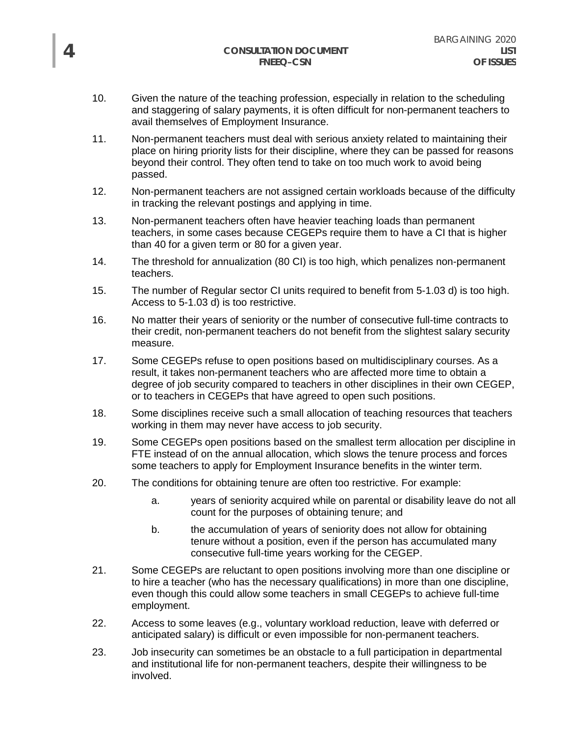- 10. Given the nature of the teaching profession, especially in relation to the scheduling and staggering of salary payments, it is often difficult for non-permanent teachers to avail themselves of Employment Insurance.
- 11. Non-permanent teachers must deal with serious anxiety related to maintaining their place on hiring priority lists for their discipline, where they can be passed for reasons beyond their control. They often tend to take on too much work to avoid being passed.
- 12. Non-permanent teachers are not assigned certain workloads because of the difficulty in tracking the relevant postings and applying in time.
- 13. Non-permanent teachers often have heavier teaching loads than permanent teachers, in some cases because CEGEPs require them to have a CI that is higher than 40 for a given term or 80 for a given year.
- 14. The threshold for annualization (80 CI) is too high, which penalizes non-permanent teachers.
- 15. The number of Regular sector CI units required to benefit from 5-1.03 d) is too high. Access to 5-1.03 d) is too restrictive.
- 16. No matter their years of seniority or the number of consecutive full-time contracts to their credit, non-permanent teachers do not benefit from the slightest salary security measure.
- 17. Some CEGEPs refuse to open positions based on multidisciplinary courses. As a result, it takes non-permanent teachers who are affected more time to obtain a degree of job security compared to teachers in other disciplines in their own CEGEP, or to teachers in CEGEPs that have agreed to open such positions.
- 18. Some disciplines receive such a small allocation of teaching resources that teachers working in them may never have access to job security.
- 19. Some CEGEPs open positions based on the smallest term allocation per discipline in FTE instead of on the annual allocation, which slows the tenure process and forces some teachers to apply for Employment Insurance benefits in the winter term.
- 20. The conditions for obtaining tenure are often too restrictive. For example:
	- a. years of seniority acquired while on parental or disability leave do not all count for the purposes of obtaining tenure; and
	- b. the accumulation of years of seniority does not allow for obtaining tenure without a position, even if the person has accumulated many consecutive full-time years working for the CEGEP.
- 21. Some CEGEPs are reluctant to open positions involving more than one discipline or to hire a teacher (who has the necessary qualifications) in more than one discipline, even though this could allow some teachers in small CEGEPs to achieve full-time employment.
- 22. Access to some leaves (e.g., voluntary workload reduction, leave with deferred or anticipated salary) is difficult or even impossible for non-permanent teachers.
- 23. Job insecurity can sometimes be an obstacle to a full participation in departmental and institutional life for non-permanent teachers, despite their willingness to be involved.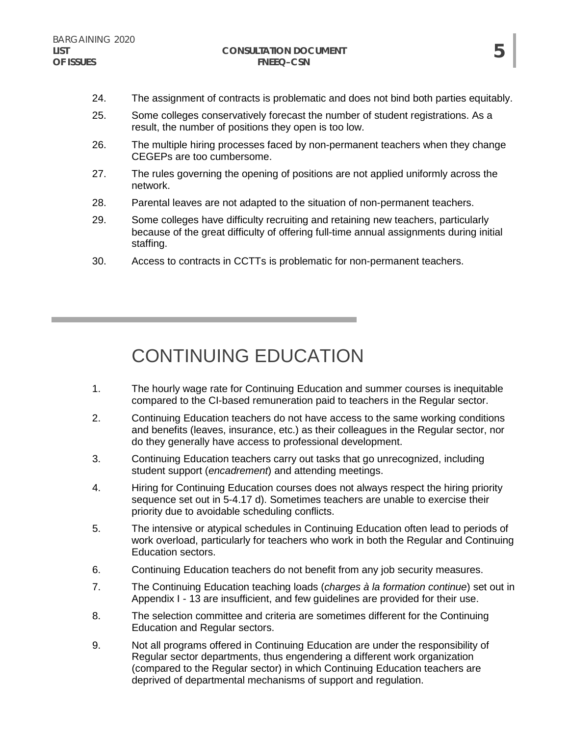- 24. The assignment of contracts is problematic and does not bind both parties equitably.
- 25. Some colleges conservatively forecast the number of student registrations. As a result, the number of positions they open is too low.
- 26. The multiple hiring processes faced by non-permanent teachers when they change CEGEPs are too cumbersome.
- 27. The rules governing the opening of positions are not applied uniformly across the network.
- 28. Parental leaves are not adapted to the situation of non-permanent teachers.
- 29. Some colleges have difficulty recruiting and retaining new teachers, particularly because of the great difficulty of offering full-time annual assignments during initial staffing.
- 30. Access to contracts in CCTTs is problematic for non-permanent teachers.

#### CONTINUING EDUCATION

- 1. The hourly wage rate for Continuing Education and summer courses is inequitable compared to the CI-based remuneration paid to teachers in the Regular sector.
- 2. Continuing Education teachers do not have access to the same working conditions and benefits (leaves, insurance, etc.) as their colleagues in the Regular sector, nor do they generally have access to professional development.
- 3. Continuing Education teachers carry out tasks that go unrecognized, including student support (*encadrement*) and attending meetings.
- 4. Hiring for Continuing Education courses does not always respect the hiring priority sequence set out in 5-4.17 d). Sometimes teachers are unable to exercise their priority due to avoidable scheduling conflicts.
- 5. The intensive or atypical schedules in Continuing Education often lead to periods of work overload, particularly for teachers who work in both the Regular and Continuing Education sectors.
- 6. Continuing Education teachers do not benefit from any job security measures.
- 7. The Continuing Education teaching loads (*charges à la formation continue*) set out in Appendix I - 13 are insufficient, and few guidelines are provided for their use.
- 8. The selection committee and criteria are sometimes different for the Continuing Education and Regular sectors.
- 9. Not all programs offered in Continuing Education are under the responsibility of Regular sector departments, thus engendering a different work organization (compared to the Regular sector) in which Continuing Education teachers are deprived of departmental mechanisms of support and regulation.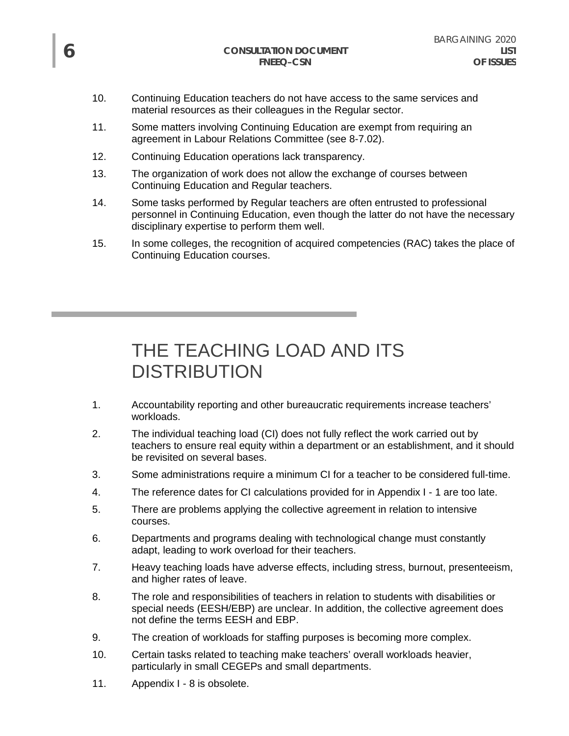- 10. Continuing Education teachers do not have access to the same services and material resources as their colleagues in the Regular sector.
- 11. Some matters involving Continuing Education are exempt from requiring an agreement in Labour Relations Committee (see 8-7.02).
- 12. Continuing Education operations lack transparency.
- 13. The organization of work does not allow the exchange of courses between Continuing Education and Regular teachers.
- 14. Some tasks performed by Regular teachers are often entrusted to professional personnel in Continuing Education, even though the latter do not have the necessary disciplinary expertise to perform them well.
- 15. In some colleges, the recognition of acquired competencies (RAC) takes the place of Continuing Education courses.

# THE TEACHING LOAD AND ITS DISTRIBUTION

- 1. Accountability reporting and other bureaucratic requirements increase teachers' workloads.
- 2. The individual teaching load (CI) does not fully reflect the work carried out by teachers to ensure real equity within a department or an establishment, and it should be revisited on several bases.
- 3. Some administrations require a minimum CI for a teacher to be considered full-time.
- 4. The reference dates for CI calculations provided for in Appendix I 1 are too late.
- 5. There are problems applying the collective agreement in relation to intensive courses.
- 6. Departments and programs dealing with technological change must constantly adapt, leading to work overload for their teachers.
- 7. Heavy teaching loads have adverse effects, including stress, burnout, presenteeism, and higher rates of leave.
- 8. The role and responsibilities of teachers in relation to students with disabilities or special needs (EESH/EBP) are unclear. In addition, the collective agreement does not define the terms EESH and EBP.
- 9. The creation of workloads for staffing purposes is becoming more complex.
- 10. Certain tasks related to teaching make teachers' overall workloads heavier, particularly in small CEGEPs and small departments.
- 11. Appendix I 8 is obsolete.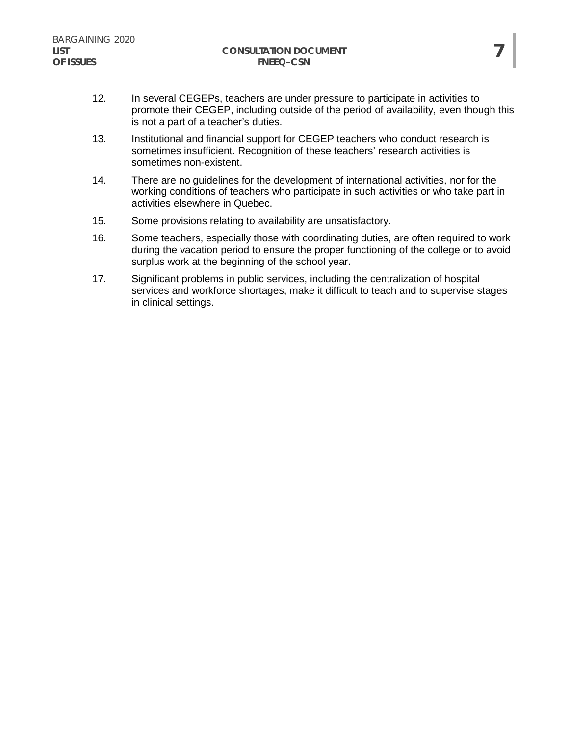- 12. In several CEGEPs, teachers are under pressure to participate in activities to promote their CEGEP, including outside of the period of availability, even though this is not a part of a teacher's duties.
- 13. Institutional and financial support for CEGEP teachers who conduct research is sometimes insufficient. Recognition of these teachers' research activities is sometimes non-existent.
- 14. There are no guidelines for the development of international activities, nor for the working conditions of teachers who participate in such activities or who take part in activities elsewhere in Quebec.
- 15. Some provisions relating to availability are unsatisfactory.
- 16. Some teachers, especially those with coordinating duties, are often required to work during the vacation period to ensure the proper functioning of the college or to avoid surplus work at the beginning of the school year.
- 17. Significant problems in public services, including the centralization of hospital services and workforce shortages, make it difficult to teach and to supervise stages in clinical settings.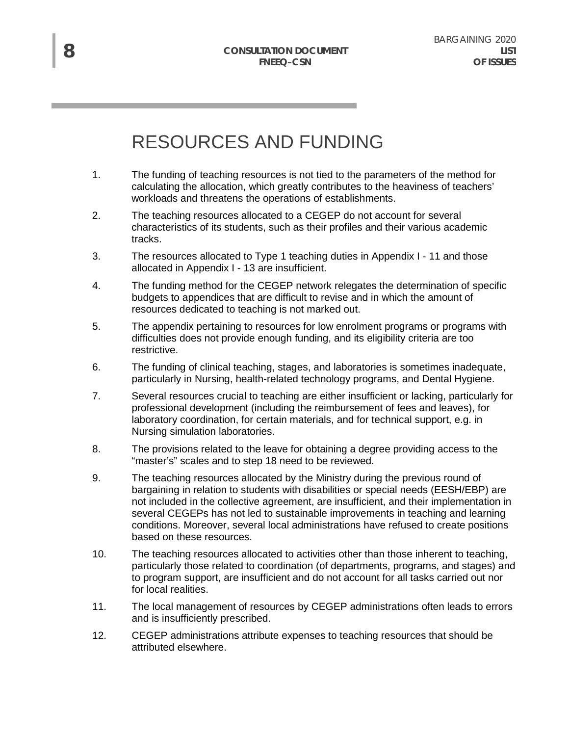#### RESOURCES AND FUNDING

- 1. The funding of teaching resources is not tied to the parameters of the method for calculating the allocation, which greatly contributes to the heaviness of teachers' workloads and threatens the operations of establishments.
- 2. The teaching resources allocated to a CEGEP do not account for several characteristics of its students, such as their profiles and their various academic tracks.
- 3. The resources allocated to Type 1 teaching duties in Appendix I 11 and those allocated in Appendix I - 13 are insufficient.
- 4. The funding method for the CEGEP network relegates the determination of specific budgets to appendices that are difficult to revise and in which the amount of resources dedicated to teaching is not marked out.
- 5. The appendix pertaining to resources for low enrolment programs or programs with difficulties does not provide enough funding, and its eligibility criteria are too restrictive.
- 6. The funding of clinical teaching, stages, and laboratories is sometimes inadequate, particularly in Nursing, health-related technology programs, and Dental Hygiene.
- 7. Several resources crucial to teaching are either insufficient or lacking, particularly for professional development (including the reimbursement of fees and leaves), for laboratory coordination, for certain materials, and for technical support, e.g. in Nursing simulation laboratories.
- 8. The provisions related to the leave for obtaining a degree providing access to the "master's" scales and to step 18 need to be reviewed.
- 9. The teaching resources allocated by the Ministry during the previous round of bargaining in relation to students with disabilities or special needs (EESH/EBP) are not included in the collective agreement, are insufficient, and their implementation in several CEGEPs has not led to sustainable improvements in teaching and learning conditions. Moreover, several local administrations have refused to create positions based on these resources.
- 10. The teaching resources allocated to activities other than those inherent to teaching, particularly those related to coordination (of departments, programs, and stages) and to program support, are insufficient and do not account for all tasks carried out nor for local realities.
- 11. The local management of resources by CEGEP administrations often leads to errors and is insufficiently prescribed.
- 12. CEGEP administrations attribute expenses to teaching resources that should be attributed elsewhere.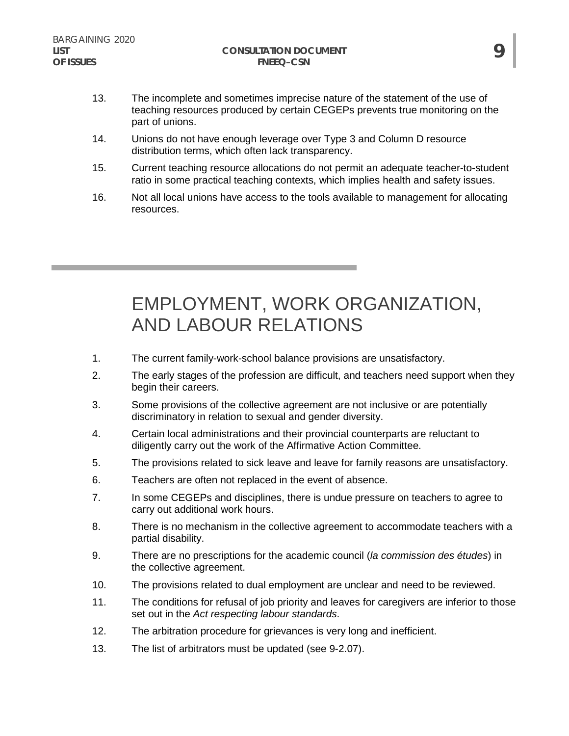- 13. The incomplete and sometimes imprecise nature of the statement of the use of teaching resources produced by certain CEGEPs prevents true monitoring on the part of unions.
- 14. Unions do not have enough leverage over Type 3 and Column D resource distribution terms, which often lack transparency.
- 15. Current teaching resource allocations do not permit an adequate teacher-to-student ratio in some practical teaching contexts, which implies health and safety issues.
- 16. Not all local unions have access to the tools available to management for allocating resources.

# EMPLOYMENT, WORK ORGANIZATION, AND LABOUR RELATIONS

- 1. The current family-work-school balance provisions are unsatisfactory.
- 2. The early stages of the profession are difficult, and teachers need support when they begin their careers.
- 3. Some provisions of the collective agreement are not inclusive or are potentially discriminatory in relation to sexual and gender diversity.
- 4. Certain local administrations and their provincial counterparts are reluctant to diligently carry out the work of the Affirmative Action Committee.
- 5. The provisions related to sick leave and leave for family reasons are unsatisfactory.
- 6. Teachers are often not replaced in the event of absence.
- 7. In some CEGEPs and disciplines, there is undue pressure on teachers to agree to carry out additional work hours.
- 8. There is no mechanism in the collective agreement to accommodate teachers with a partial disability.
- 9. There are no prescriptions for the academic council (*la commission des études*) in the collective agreement.
- 10. The provisions related to dual employment are unclear and need to be reviewed.
- 11. The conditions for refusal of job priority and leaves for caregivers are inferior to those set out in the *Act respecting labour standards*.
- 12. The arbitration procedure for grievances is very long and inefficient.
- 13. The list of arbitrators must be updated (see 9-2.07).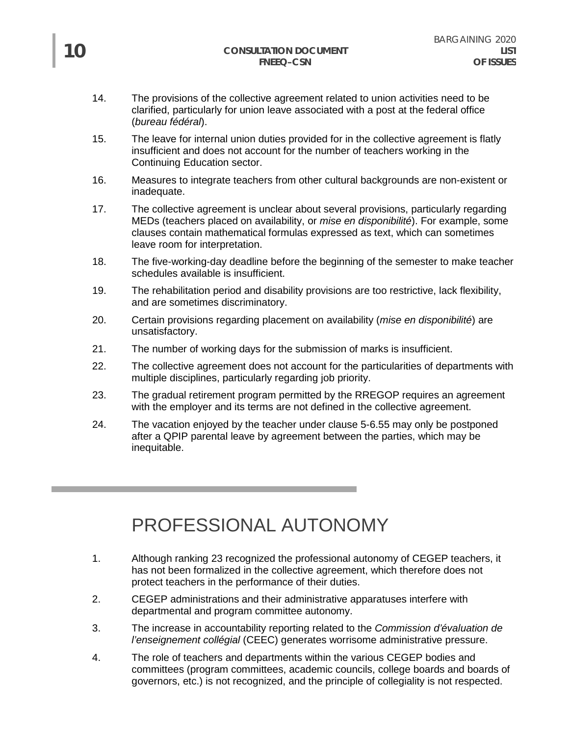- 14. The provisions of the collective agreement related to union activities need to be clarified, particularly for union leave associated with a post at the federal office (*bureau fédéral*).
- 15. The leave for internal union duties provided for in the collective agreement is flatly insufficient and does not account for the number of teachers working in the Continuing Education sector.
- 16. Measures to integrate teachers from other cultural backgrounds are non-existent or inadequate.
- 17. The collective agreement is unclear about several provisions, particularly regarding MEDs (teachers placed on availability, or *mise en disponibilité*). For example, some clauses contain mathematical formulas expressed as text, which can sometimes leave room for interpretation.
- 18. The five-working-day deadline before the beginning of the semester to make teacher schedules available is insufficient.
- 19. The rehabilitation period and disability provisions are too restrictive, lack flexibility, and are sometimes discriminatory.
- 20. Certain provisions regarding placement on availability (*mise en disponibilité*) are unsatisfactory.
- 21. The number of working days for the submission of marks is insufficient.
- 22. The collective agreement does not account for the particularities of departments with multiple disciplines, particularly regarding job priority.
- 23. The gradual retirement program permitted by the RREGOP requires an agreement with the employer and its terms are not defined in the collective agreement.
- 24. The vacation enjoyed by the teacher under clause 5-6.55 may only be postponed after a QPIP parental leave by agreement between the parties, which may be inequitable.

# PROFESSIONAL AUTONOMY

- 1. Although ranking 23 recognized the professional autonomy of CEGEP teachers, it has not been formalized in the collective agreement, which therefore does not protect teachers in the performance of their duties.
- 2. CEGEP administrations and their administrative apparatuses interfere with departmental and program committee autonomy.
- 3. The increase in accountability reporting related to the *Commission d'évaluation de l'enseignement collégial* (CEEC) generates worrisome administrative pressure.
- 4. The role of teachers and departments within the various CEGEP bodies and committees (program committees, academic councils, college boards and boards of governors, etc.) is not recognized, and the principle of collegiality is not respected.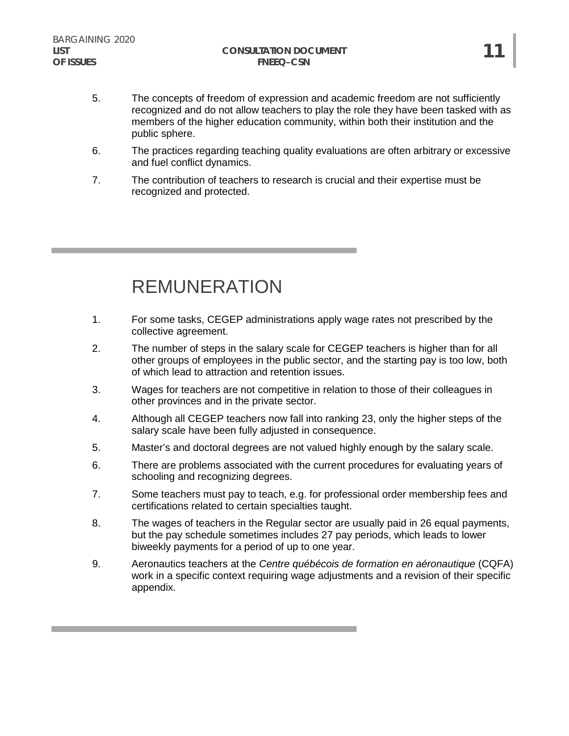- 5. The concepts of freedom of expression and academic freedom are not sufficiently recognized and do not allow teachers to play the role they have been tasked with as members of the higher education community, within both their institution and the public sphere.
- 6. The practices regarding teaching quality evaluations are often arbitrary or excessive and fuel conflict dynamics.
- 7. The contribution of teachers to research is crucial and their expertise must be recognized and protected.

#### REMUNERATION

- 1. For some tasks, CEGEP administrations apply wage rates not prescribed by the collective agreement.
- 2. The number of steps in the salary scale for CEGEP teachers is higher than for all other groups of employees in the public sector, and the starting pay is too low, both of which lead to attraction and retention issues.
- 3. Wages for teachers are not competitive in relation to those of their colleagues in other provinces and in the private sector.
- 4. Although all CEGEP teachers now fall into ranking 23, only the higher steps of the salary scale have been fully adjusted in consequence.
- 5. Master's and doctoral degrees are not valued highly enough by the salary scale.
- 6. There are problems associated with the current procedures for evaluating years of schooling and recognizing degrees.
- 7. Some teachers must pay to teach, e.g. for professional order membership fees and certifications related to certain specialties taught.
- 8. The wages of teachers in the Regular sector are usually paid in 26 equal payments, but the pay schedule sometimes includes 27 pay periods, which leads to lower biweekly payments for a period of up to one year.
- 9. Aeronautics teachers at the *Centre québécois de formation en aéronautique* (CQFA) work in a specific context requiring wage adjustments and a revision of their specific appendix.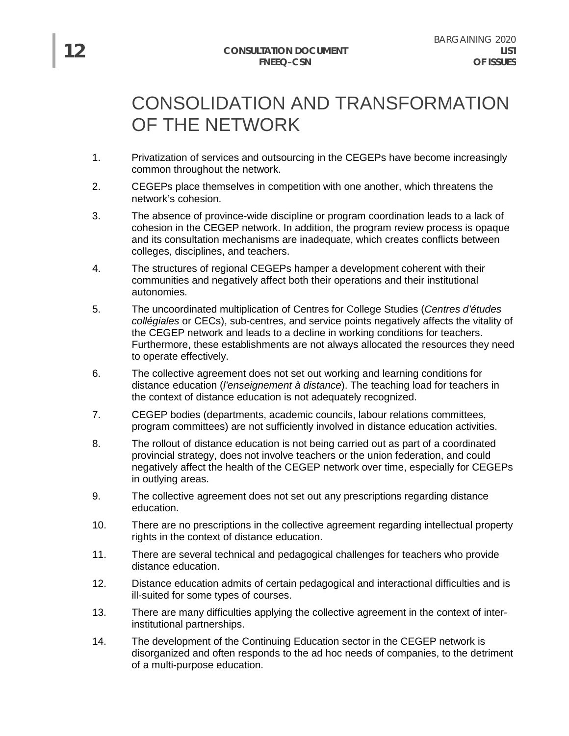# CONSOLIDATION AND TRANSFORMATION OF THE NETWORK

- 1. Privatization of services and outsourcing in the CEGEPs have become increasingly common throughout the network.
- 2. CEGEPs place themselves in competition with one another, which threatens the network's cohesion.
- 3. The absence of province-wide discipline or program coordination leads to a lack of cohesion in the CEGEP network. In addition, the program review process is opaque and its consultation mechanisms are inadequate, which creates conflicts between colleges, disciplines, and teachers.
- 4. The structures of regional CEGEPs hamper a development coherent with their communities and negatively affect both their operations and their institutional autonomies.
- 5. The uncoordinated multiplication of Centres for College Studies (*Centres d'études collégiales* or CECs), sub-centres, and service points negatively affects the vitality of the CEGEP network and leads to a decline in working conditions for teachers. Furthermore, these establishments are not always allocated the resources they need to operate effectively.
- 6. The collective agreement does not set out working and learning conditions for distance education (*l'enseignement à distance*). The teaching load for teachers in the context of distance education is not adequately recognized.
- 7. CEGEP bodies (departments, academic councils, labour relations committees, program committees) are not sufficiently involved in distance education activities.
- 8. The rollout of distance education is not being carried out as part of a coordinated provincial strategy, does not involve teachers or the union federation, and could negatively affect the health of the CEGEP network over time, especially for CEGEPs in outlying areas.
- 9. The collective agreement does not set out any prescriptions regarding distance education.
- 10. There are no prescriptions in the collective agreement regarding intellectual property rights in the context of distance education.
- 11. There are several technical and pedagogical challenges for teachers who provide distance education.
- 12. Distance education admits of certain pedagogical and interactional difficulties and is ill-suited for some types of courses.
- 13. There are many difficulties applying the collective agreement in the context of interinstitutional partnerships.
- 14. The development of the Continuing Education sector in the CEGEP network is disorganized and often responds to the ad hoc needs of companies, to the detriment of a multi-purpose education.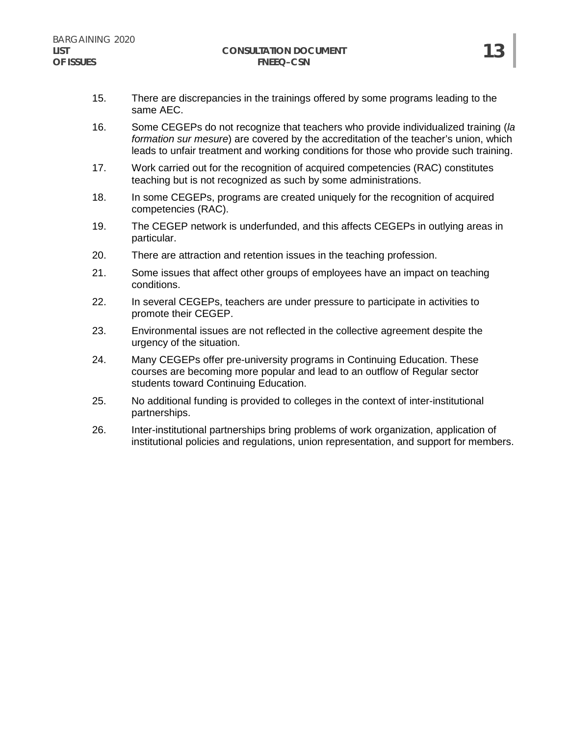- 15. There are discrepancies in the trainings offered by some programs leading to the same AEC.
- 16. Some CEGEPs do not recognize that teachers who provide individualized training (*la formation sur mesure*) are covered by the accreditation of the teacher's union, which leads to unfair treatment and working conditions for those who provide such training.
- 17. Work carried out for the recognition of acquired competencies (RAC) constitutes teaching but is not recognized as such by some administrations.
- 18. In some CEGEPs, programs are created uniquely for the recognition of acquired competencies (RAC).
- 19. The CEGEP network is underfunded, and this affects CEGEPs in outlying areas in particular.
- 20. There are attraction and retention issues in the teaching profession.
- 21. Some issues that affect other groups of employees have an impact on teaching conditions.
- 22. In several CEGEPs, teachers are under pressure to participate in activities to promote their CEGEP.
- 23. Environmental issues are not reflected in the collective agreement despite the urgency of the situation.
- 24. Many CEGEPs offer pre-university programs in Continuing Education. These courses are becoming more popular and lead to an outflow of Regular sector students toward Continuing Education.
- 25. No additional funding is provided to colleges in the context of inter-institutional partnerships.
- 26. Inter-institutional partnerships bring problems of work organization, application of institutional policies and regulations, union representation, and support for members.